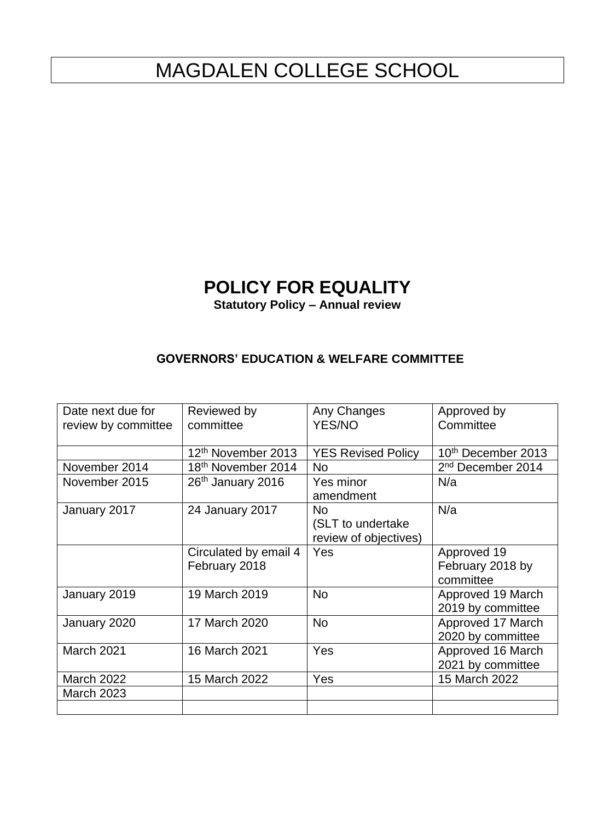# MAGDALEN COLLEGE SCHOOL

## **POLICY FOR EQUALITY**

**Statutory Policy – Annual review** 

### **GOVERNORS' EDUCATION & WELFARE COMMITTEE**

| Date next due for<br>review by committee | Reviewed by<br>committee       | Any Changes<br><b>YES/NO</b> | Approved by<br>Committee      |
|------------------------------------------|--------------------------------|------------------------------|-------------------------------|
|                                          |                                |                              |                               |
|                                          | 12 <sup>th</sup> November 2013 | <b>YES Revised Policy</b>    | 10th December 2013            |
| November 2014                            | 18 <sup>th</sup> November 2014 | <b>No</b>                    | 2 <sup>nd</sup> December 2014 |
| November 2015                            | 26 <sup>th</sup> January 2016  | Yes minor                    | N/a                           |
|                                          |                                | amendment                    |                               |
| January 2017                             | 24 January 2017                | <b>No</b>                    | N/a                           |
|                                          |                                | (SLT to undertake            |                               |
|                                          |                                | review of objectives)        |                               |
|                                          | Circulated by email 4          | Yes                          | Approved 19                   |
|                                          | February 2018                  |                              | February 2018 by              |
|                                          |                                |                              | committee                     |
| January 2019                             | 19 March 2019                  | <b>No</b>                    | Approved 19 March             |
|                                          |                                |                              | 2019 by committee             |
| January 2020                             | 17 March 2020                  | <b>No</b>                    | Approved 17 March             |
|                                          |                                |                              | 2020 by committee             |
| March 2021                               | 16 March 2021                  | Yes                          | Approved 16 March             |
|                                          |                                |                              | 2021 by committee             |
| <b>March 2022</b>                        | 15 March 2022                  | Yes                          | 15 March 2022                 |
| <b>March 2023</b>                        |                                |                              |                               |
|                                          |                                |                              |                               |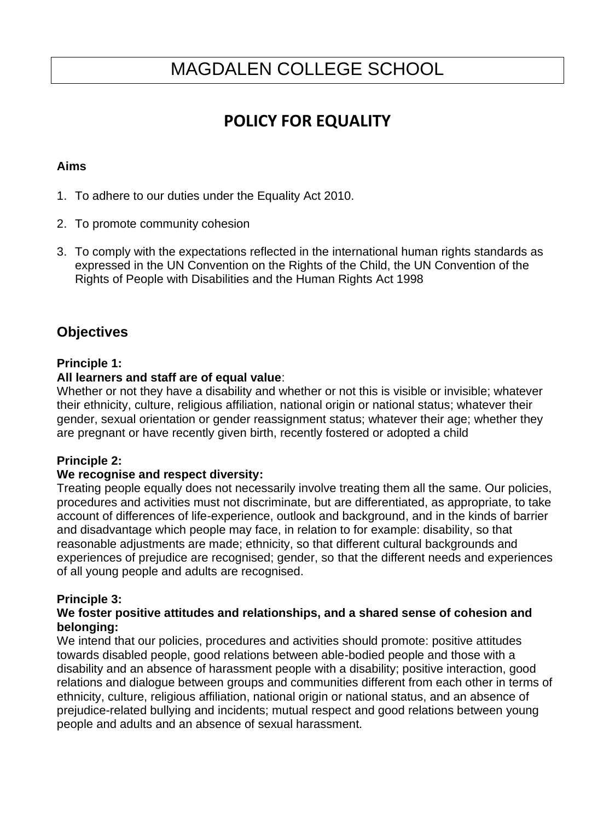## MAGDALEN COLLEGE SCHOOL

## **POLICY FOR EQUALITY**

#### **Aims**

- 1. To adhere to our duties under the Equality Act 2010.
- 2. To promote community cohesion
- 3. To comply with the expectations reflected in the international human rights standards as expressed in the UN Convention on the Rights of the Child, the UN Convention of the Rights of People with Disabilities and the Human Rights Act 1998

### **Objectives**

#### **Principle 1:**

#### **All learners and staff are of equal value**:

Whether or not they have a disability and whether or not this is visible or invisible; whatever their ethnicity, culture, religious affiliation, national origin or national status; whatever their gender, sexual orientation or gender reassignment status; whatever their age; whether they are pregnant or have recently given birth, recently fostered or adopted a child

#### **Principle 2:**

#### **We recognise and respect diversity:**

Treating people equally does not necessarily involve treating them all the same. Our policies, procedures and activities must not discriminate, but are differentiated, as appropriate, to take account of differences of life-experience, outlook and background, and in the kinds of barrier and disadvantage which people may face, in relation to for example: disability, so that reasonable adjustments are made; ethnicity, so that different cultural backgrounds and experiences of prejudice are recognised; gender, so that the different needs and experiences of all young people and adults are recognised.

#### **Principle 3:**

#### **We foster positive attitudes and relationships, and a shared sense of cohesion and belonging:**

We intend that our policies, procedures and activities should promote: positive attitudes towards disabled people, good relations between able-bodied people and those with a disability and an absence of harassment people with a disability; positive interaction, good relations and dialogue between groups and communities different from each other in terms of ethnicity, culture, religious affiliation, national origin or national status, and an absence of prejudice-related bullying and incidents; mutual respect and good relations between young people and adults and an absence of sexual harassment.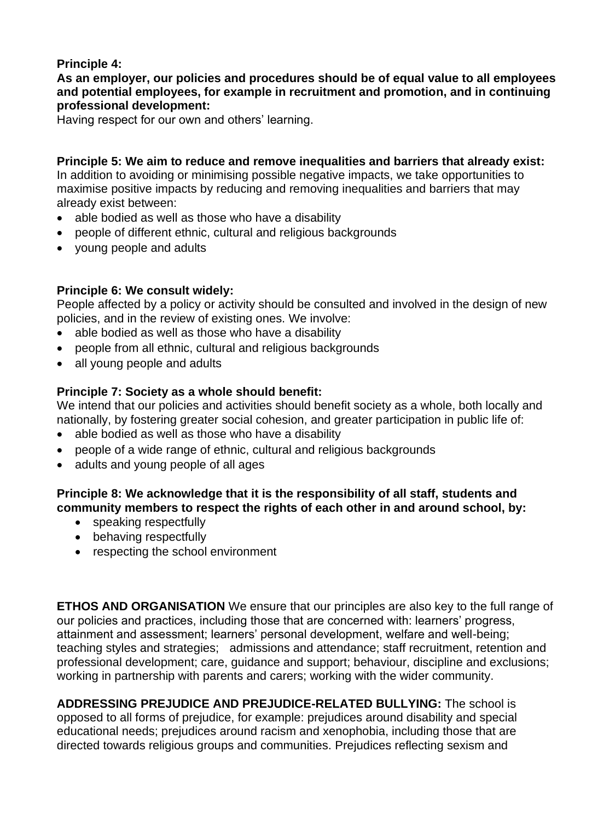### **Principle 4:**

**As an employer, our policies and procedures should be of equal value to all employees and potential employees, for example in recruitment and promotion, and in continuing professional development:**

Having respect for our own and others' learning.

**Principle 5: We aim to reduce and remove inequalities and barriers that already exist:** In addition to avoiding or minimising possible negative impacts, we take opportunities to maximise positive impacts by reducing and removing inequalities and barriers that may already exist between:

- able bodied as well as those who have a disability
- people of different ethnic, cultural and religious backgrounds
- young people and adults

#### **Principle 6: We consult widely:**

People affected by a policy or activity should be consulted and involved in the design of new policies, and in the review of existing ones. We involve:

- able bodied as well as those who have a disability
- people from all ethnic, cultural and religious backgrounds
- all young people and adults

#### **Principle 7: Society as a whole should benefit:**

We intend that our policies and activities should benefit society as a whole, both locally and nationally, by fostering greater social cohesion, and greater participation in public life of:

- able bodied as well as those who have a disability
- people of a wide range of ethnic, cultural and religious backgrounds
- adults and young people of all ages

#### **Principle 8: We acknowledge that it is the responsibility of all staff, students and community members to respect the rights of each other in and around school, by:**

- speaking respectfully
- behaving respectfully
- respecting the school environment

**ETHOS AND ORGANISATION** We ensure that our principles are also key to the full range of our policies and practices, including those that are concerned with: learners' progress, attainment and assessment; learners' personal development, welfare and well-being; teaching styles and strategies; admissions and attendance; staff recruitment, retention and professional development; care, guidance and support; behaviour, discipline and exclusions; working in partnership with parents and carers; working with the wider community.

**ADDRESSING PREJUDICE AND PREJUDICE-RELATED BULLYING:** The school is opposed to all forms of prejudice, for example: prejudices around disability and special educational needs; prejudices around racism and xenophobia, including those that are directed towards religious groups and communities. Prejudices reflecting sexism and